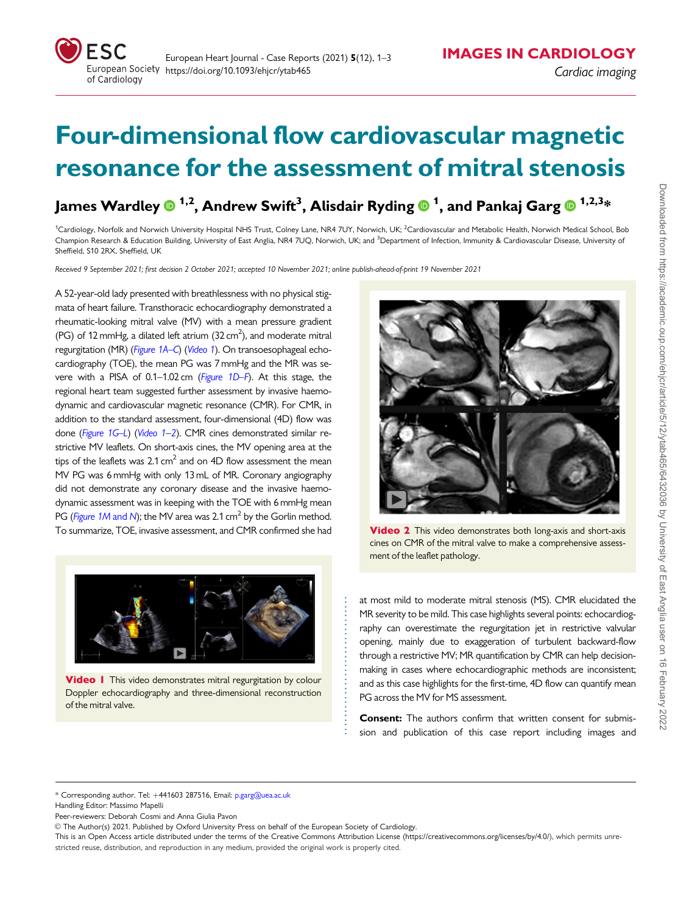## Four-dimensional flow cardiovascular magnetic resonance for the assessment of mitral stenosis

James Wardley  $\mathbf{0}^{1,2}$ , Andrew Swift $^3$ , Alisdair Ryding  $\mathbf{0}^{1}$ , and Pankaj Garg  $\mathbf{0}^{1,2,3}$ \*

<sup>1</sup>Cardiology, Norfolk and Norwich University Hospital NHS Trust, Colney Lane, NR4 7UY, Norwich, UK; <sup>2</sup>Cardiovascular and Metabolic Health, Norwich Medical School, Bob Champion Research & Education Building, University of East Anglia, NR4 7UQ, Norwich, UK; and <sup>3</sup>Department of Infection, Immunity & Cardiovascular Disease, University of Sheffield, S10 2RX, Sheffield, UK

Received 9 September 2021; first decision 2 October 2021; accepted 10 November 2021; online publish-ahead-of-print 19 November 2021

A 52-year-old lady presented with breathlessness with no physical stigmata of heart failure. Transthoracic echocardiography demonstrated a rheumatic-looking mitral valve (MV) with a mean pressure gradient (PG) of 12 mmHg, a dilated left atrium  $(32 \text{ cm}^2)$ , and moderate mitral regurgitation (MR) ([Figure 1A](#page-1-0)–C) (Video 1). On transoesophageal echocardiography (TOE), the mean PG was 7 mmHg and the MR was severe with a PISA of 0.1–1.02 cm ([Figure 1D](#page-1-0)–F). At this stage, the regional heart team suggested further assessment by invasive haemodynamic and cardiovascular magnetic resonance (CMR). For CMR, in addition to the standard assessment, four-dimensional (4D) flow was done ([Figure 1G](#page-1-0)–L) (Video 1–2). CMR cines demonstrated similar restrictive MV leaflets. On short-axis cines, the MV opening area at the tips of the leaflets was  $2.1 \text{ cm}^2$  and on 4D flow assessment the mean MV PG was 6 mmHg with only 13 mL of MR. Coronary angiography did not demonstrate any coronary disease and the invasive haemodynamic assessment was in keeping with the TOE with 6 mmHg mean PG ([Figure 1M](#page-1-0) and N); the MV area was 2.1 cm<sup>2</sup> by the Gorlin method. To summarize, TOE, invasive assessment, and CMR confirmed she had



**Video I** This video demonstrates mitral regurgitation by colour Doppler echocardiography and three-dimensional reconstruction of the mitral valve.



**Video 2** This video demonstrates both long-axis and short-axis cines on CMR of the mitral valve to make a comprehensive assessment of the leaflet pathology.

at most mild to moderate mitral stenosis (MS). CMR elucidated the MR severity to be mild. This case highlights several points: echocardiography can overestimate the regurgitation jet in restrictive valvular opening, mainly due to exaggeration of turbulent backward-flow through a restrictive MV; MR quantification by CMR can help decisionmaking in cases where echocardiographic methods are inconsistent; and as this case highlights for the first-time, 4D flow can quantify mean PG across the MV for MS assessment.

Consent: The authors confirm that written consent for submission and publication of this case report including images and

\* Corresponding author. Tel: +441603 287516, Email: p.garg@uea.ac.uk

Peer-reviewers: Deborah Cosmi and Anna Giulia Pavon

. . . . . . . . . . . . . . . . . . . . . . . . . . . . . . .

Handling Editor: Massimo Mapelli

V<sup>C</sup> The Author(s) 2021. Published by Oxford University Press on behalf of the European Society of Cardiology.

This is an Open Access article distributed under the terms of the Creative Commons Attribution License [\(https://creativecommons.org/licenses/by/4.0/](Undefined namespace prefix
xmlXPathCompOpEval: parameter error
xmlXPathEval: evaluation failed
)), which permits unrestricted reuse, distribution, and reproduction in any medium, provided the original work is properly cited.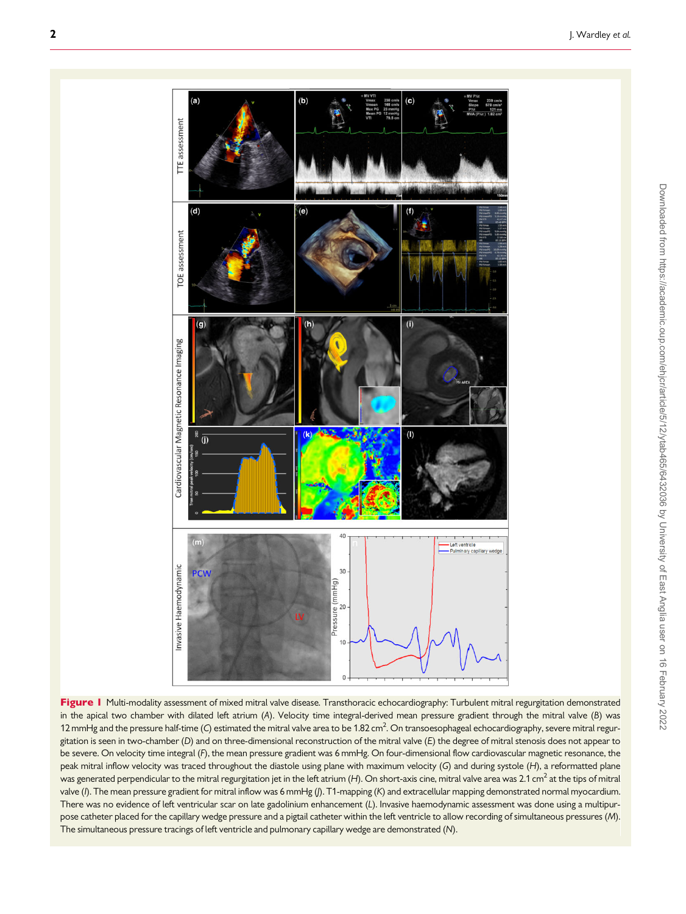<span id="page-1-0"></span>

Figure I Multi-modality assessment of mixed mitral valve disease. Transthoracic echocardiography: Turbulent mitral regurgitation demonstrated in the apical two chamber with dilated left atrium (A). Velocity time integral-derived mean pressure gradient through the mitral valve (B) was 12 mmHg and the pressure half-time (C) estimated the mitral valve area to be 1.82 cm<sup>2</sup>. On transoesophageal echocardiography, severe mitral regurgitation is seen in two-chamber (D) and on three-dimensional reconstruction of the mitral valve (E) the degree of mitral stenosis does not appear to be severe. On velocity time integral (F), the mean pressure gradient was 6 mmHg. On four-dimensional flow cardiovascular magnetic resonance, the peak mitral inflow velocity was traced throughout the diastole using plane with maximum velocity (G) and during systole (H), a reformatted plane was generated perpendicular to the mitral regurgitation jet in the left atrium (H). On short-axis cine, mitral valve area was 2.1 cm<sup>2</sup> at the tips of mitral valve (I). The mean pressure gradient for mitral inflow was 6 mmHg (J). T1-mapping (K) and extracellular mapping demonstrated normal myocardium. There was no evidence of left ventricular scar on late gadolinium enhancement (L). Invasive haemodynamic assessment was done using a multipurpose catheter placed for the capillary wedge pressure and a pigtail catheter within the left ventricle to allow recording of simultaneous pressures (M). The simultaneous pressure tracings of left ventricle and pulmonary capillary wedge are demonstrated (N).